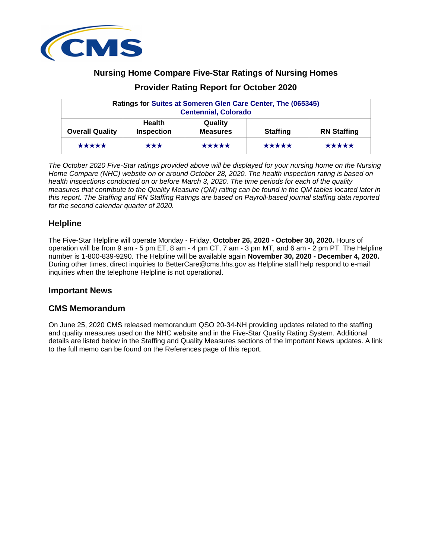

## **Nursing Home Compare Five-Star Ratings of Nursing Homes**

## **Provider Rating Report for October 2020**

| Ratings for Suites at Someren Glen Care Center, The (065345)<br><b>Centennial, Colorado</b> |                                    |                            |                 |                    |  |
|---------------------------------------------------------------------------------------------|------------------------------------|----------------------------|-----------------|--------------------|--|
| <b>Overall Quality</b>                                                                      | <b>Health</b><br><b>Inspection</b> | Quality<br><b>Measures</b> | <b>Staffing</b> | <b>RN Staffing</b> |  |
| *****                                                                                       | $\star\star\star$                  | *****                      | *****           | *****              |  |

The October 2020 Five-Star ratings provided above will be displayed for your nursing home on the Nursing Home Compare (NHC) website on or around October 28, 2020. The health inspection rating is based on health inspections conducted on or before March 3, 2020. The time periods for each of the quality measures that contribute to the Quality Measure (QM) rating can be found in the QM tables located later in this report. The Staffing and RN Staffing Ratings are based on Payroll-based journal staffing data reported for the second calendar quarter of 2020.

## **Helpline**

The Five-Star Helpline will operate Monday - Friday, **October 26, 2020 - October 30, 2020.** Hours of operation will be from 9 am - 5 pm ET, 8 am - 4 pm CT, 7 am - 3 pm MT, and 6 am - 2 pm PT. The Helpline number is 1-800-839-9290. The Helpline will be available again **November 30, 2020 - December 4, 2020.** During other times, direct inquiries to BetterCare@cms.hhs.gov as Helpline staff help respond to e-mail inquiries when the telephone Helpline is not operational.

## **Important News**

## **CMS Memorandum**

On June 25, 2020 CMS released memorandum QSO 20-34-NH providing updates related to the staffing and quality measures used on the NHC website and in the Five-Star Quality Rating System. Additional details are listed below in the Staffing and Quality Measures sections of the Important News updates. A link to the full memo can be found on the References page of this report.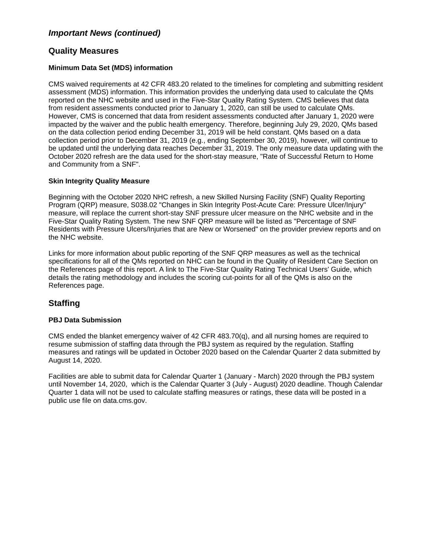## **Important News (continued)**

## **Quality Measures**

### **Minimum Data Set (MDS) information**

CMS waived requirements at 42 CFR 483.20 related to the timelines for completing and submitting resident assessment (MDS) information. This information provides the underlying data used to calculate the QMs reported on the NHC website and used in the Five-Star Quality Rating System. CMS believes that data from resident assessments conducted prior to January 1, 2020, can still be used to calculate QMs. However, CMS is concerned that data from resident assessments conducted after January 1, 2020 were impacted by the waiver and the public health emergency. Therefore, beginning July 29, 2020, QMs based on the data collection period ending December 31, 2019 will be held constant. QMs based on a data collection period prior to December 31, 2019 (e.g., ending September 30, 2019), however, will continue to be updated until the underlying data reaches December 31, 2019. The only measure data updating with the October 2020 refresh are the data used for the short-stay measure, "Rate of Successful Return to Home and Community from a SNF".

### **Skin Integrity Quality Measure**

Beginning with the October 2020 NHC refresh, a new Skilled Nursing Facility (SNF) Quality Reporting Program (QRP) measure, S038.02 "Changes in Skin Integrity Post-Acute Care: Pressure Ulcer/Injury" measure, will replace the current short-stay SNF pressure ulcer measure on the NHC website and in the Five-Star Quality Rating System. The new SNF QRP measure will be listed as "Percentage of SNF Residents with Pressure Ulcers/Injuries that are New or Worsened" on the provider preview reports and on the NHC website.

Links for more information about public reporting of the SNF QRP measures as well as the technical specifications for all of the QMs reported on NHC can be found in the Quality of Resident Care Section on the References page of this report. A link to The Five-Star Quality Rating Technical Users' Guide, which details the rating methodology and includes the scoring cut-points for all of the QMs is also on the References page.

## **Staffing**

### **PBJ Data Submission**

CMS ended the blanket emergency waiver of 42 CFR 483.70(q), and all nursing homes are required to resume submission of staffing data through the PBJ system as required by the regulation. Staffing measures and ratings will be updated in October 2020 based on the Calendar Quarter 2 data submitted by August 14, 2020.

Facilities are able to submit data for Calendar Quarter 1 (January - March) 2020 through the PBJ system until November 14, 2020, which is the Calendar Quarter 3 (July - August) 2020 deadline. Though Calendar Quarter 1 data will not be used to calculate staffing measures or ratings, these data will be posted in a public use file on data.cms.gov.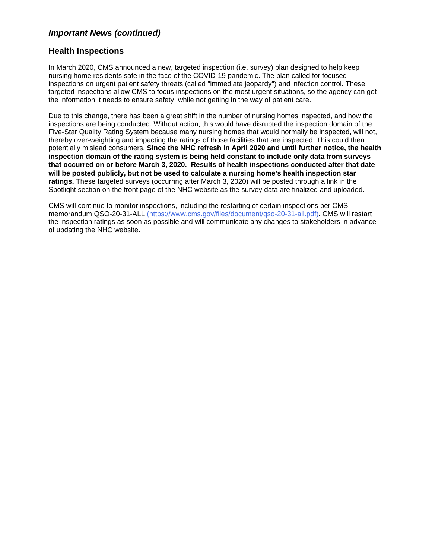## **Important News (continued)**

### **Health Inspections**

In March 2020, CMS announced a new, targeted inspection (i.e. survey) plan designed to help keep nursing home residents safe in the face of the COVID-19 pandemic. The plan called for focused inspections on urgent patient safety threats (called "immediate jeopardy") and infection control. These targeted inspections allow CMS to focus inspections on the most urgent situations, so the agency can get the information it needs to ensure safety, while not getting in the way of patient care.

Due to this change, there has been a great shift in the number of nursing homes inspected, and how the inspections are being conducted. Without action, this would have disrupted the inspection domain of the Five-Star Quality Rating System because many nursing homes that would normally be inspected, will not, thereby over-weighting and impacting the ratings of those facilities that are inspected. This could then potentially mislead consumers. **Since the NHC refresh in April 2020 and until further notice, the health inspection domain of the rating system is being held constant to include only data from surveys that occurred on or before March 3, 2020. Results of health inspections conducted after that date will be posted publicly, but not be used to calculate a nursing home's health inspection star ratings.** These targeted surveys (occurring after March 3, 2020) will be posted through a link in the Spotlight section on the front page of the NHC website as the survey data are finalized and uploaded.

CMS will continue to monitor inspections, including the restarting of certain inspections per CMS memorandum QSO-20-31-ALL (https://www.cms.gov/files/document/qso-20-31-all.pdf). CMS will restart the inspection ratings as soon as possible and will communicate any changes to stakeholders in advance of updating the NHC website.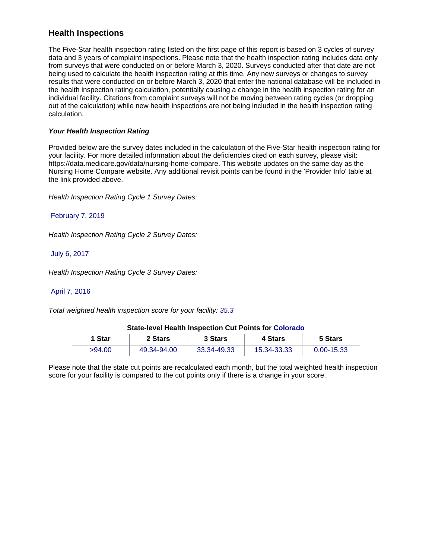## **Health Inspections**

The Five-Star health inspection rating listed on the first page of this report is based on 3 cycles of survey data and 3 years of complaint inspections. Please note that the health inspection rating includes data only from surveys that were conducted on or before March 3, 2020. Surveys conducted after that date are not being used to calculate the health inspection rating at this time. Any new surveys or changes to survey results that were conducted on or before March 3, 2020 that enter the national database will be included in the health inspection rating calculation, potentially causing a change in the health inspection rating for an individual facility. Citations from complaint surveys will not be moving between rating cycles (or dropping out of the calculation) while new health inspections are not being included in the health inspection rating calculation.

### **Your Health Inspection Rating**

Provided below are the survey dates included in the calculation of the Five-Star health inspection rating for your facility. For more detailed information about the deficiencies cited on each survey, please visit: https://data.medicare.gov/data/nursing-home-compare. This website updates on the same day as the Nursing Home Compare website. Any additional revisit points can be found in the 'Provider Info' table at the link provided above.

Health Inspection Rating Cycle 1 Survey Dates:

February 7, 2019

Health Inspection Rating Cycle 2 Survey Dates:

July 6, 2017

Health Inspection Rating Cycle 3 Survey Dates:

### April 7, 2016

Total weighted health inspection score for your facility: 35.3

|        | <b>State-level Health Inspection Cut Points for Colorado</b> |             |             |            |  |  |  |
|--------|--------------------------------------------------------------|-------------|-------------|------------|--|--|--|
| 1 Star | 2 Stars                                                      | 3 Stars     | 4 Stars     | 5 Stars    |  |  |  |
| >94.00 | 49.34-94.00                                                  | 33.34-49.33 | 15.34-33.33 | 0.00-15.33 |  |  |  |

Please note that the state cut points are recalculated each month, but the total weighted health inspection score for your facility is compared to the cut points only if there is a change in your score.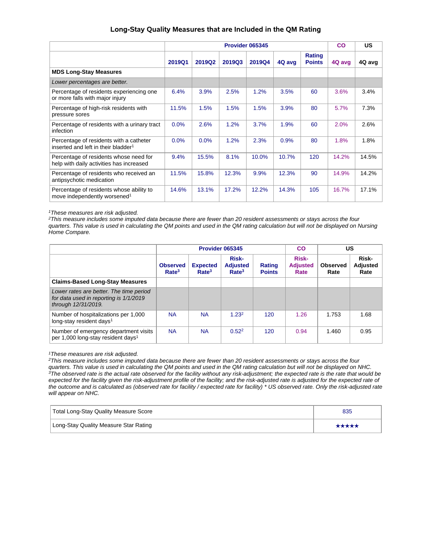### **Long-Stay Quality Measures that are Included in the QM Rating**

|                                                                                            | Provider 065345 |               |               |               |        | <b>CO</b>               | <b>US</b> |        |
|--------------------------------------------------------------------------------------------|-----------------|---------------|---------------|---------------|--------|-------------------------|-----------|--------|
|                                                                                            | 2019Q1          | <b>2019Q2</b> | <b>2019Q3</b> | <b>2019Q4</b> | 4Q avg | Rating<br><b>Points</b> | 4Q avg    | 4Q avg |
| <b>MDS Long-Stay Measures</b>                                                              |                 |               |               |               |        |                         |           |        |
| Lower percentages are better.                                                              |                 |               |               |               |        |                         |           |        |
| Percentage of residents experiencing one<br>or more falls with major injury                | 6.4%            | 3.9%          | 2.5%          | 1.2%          | 3.5%   | 60                      | 3.6%      | 3.4%   |
| Percentage of high-risk residents with<br>pressure sores                                   | 11.5%           | 1.5%          | 1.5%          | 1.5%          | 3.9%   | 80                      | 5.7%      | 7.3%   |
| Percentage of residents with a urinary tract<br>infection                                  | 0.0%            | 2.6%          | 1.2%          | 3.7%          | 1.9%   | 60                      | 2.0%      | 2.6%   |
| Percentage of residents with a catheter<br>inserted and left in their bladder <sup>1</sup> | 0.0%            | 0.0%          | 1.2%          | 2.3%          | 0.9%   | 80                      | 1.8%      | 1.8%   |
| Percentage of residents whose need for<br>help with daily activities has increased         | 9.4%            | 15.5%         | 8.1%          | 10.0%         | 10.7%  | 120                     | 14.2%     | 14.5%  |
| Percentage of residents who received an<br>antipsychotic medication                        | 11.5%           | 15.8%         | 12.3%         | 9.9%          | 12.3%  | 90                      | 14.9%     | 14.2%  |
| Percentage of residents whose ability to<br>move independently worsened <sup>1</sup>       | 14.6%           | 13.1%         | 17.2%         | 12.2%         | 14.3%  | 105                     | 16.7%     | 17.1%  |

<sup>1</sup>These measures are risk adjusted.

<sup>2</sup>This measure includes some imputed data because there are fewer than 20 resident assessments or stays across the four quarters. This value is used in calculating the QM points and used in the QM rating calculation but will not be displayed on Nursing Home Compare.

|                                                                                                          | Provider 065345                      |                                      |                                               |                         | <b>CO</b>                               |                  | <b>US</b>                        |
|----------------------------------------------------------------------------------------------------------|--------------------------------------|--------------------------------------|-----------------------------------------------|-------------------------|-----------------------------------------|------------------|----------------------------------|
|                                                                                                          | <b>Observed</b><br>Rate <sup>3</sup> | <b>Expected</b><br>Rate <sup>3</sup> | Risk-<br><b>Adjusted</b><br>Rate <sup>3</sup> | Rating<br><b>Points</b> | <b>Risk-</b><br><b>Adjusted</b><br>Rate | Observed<br>Rate | Risk-<br><b>Adjusted</b><br>Rate |
| <b>Claims-Based Long-Stay Measures</b>                                                                   |                                      |                                      |                                               |                         |                                         |                  |                                  |
| Lower rates are better. The time period<br>for data used in reporting is 1/1/2019<br>through 12/31/2019. |                                      |                                      |                                               |                         |                                         |                  |                                  |
| Number of hospitalizations per 1,000<br>long-stay resident days <sup>1</sup>                             | <b>NA</b>                            | <b>NA</b>                            | 1.23 <sup>2</sup>                             | 120                     | 1.26                                    | 1.753            | 1.68                             |
| Number of emergency department visits<br>per 1,000 long-stay resident days <sup>1</sup>                  | <b>NA</b>                            | <b>NA</b>                            | 0.52 <sup>2</sup>                             | 120                     | 0.94                                    | 1.460            | 0.95                             |

<sup>1</sup>These measures are risk adjusted.

<sup>2</sup>This measure includes some imputed data because there are fewer than 20 resident assessments or stays across the four quarters. This value is used in calculating the QM points and used in the QM rating calculation but will not be displayed on NHC.  $3$ The observed rate is the actual rate observed for the facility without any risk-adjustment; the expected rate is the rate that would be expected for the facility given the risk-adjustment profile of the facility; and the risk-adjusted rate is adjusted for the expected rate of the outcome and is calculated as (observed rate for facility / expected rate for facility) \* US observed rate. Only the risk-adjusted rate will appear on NHC.

| Total Long-Stay Quality Measure Score | 835   |
|---------------------------------------|-------|
| Long-Stay Quality Measure Star Rating | ***** |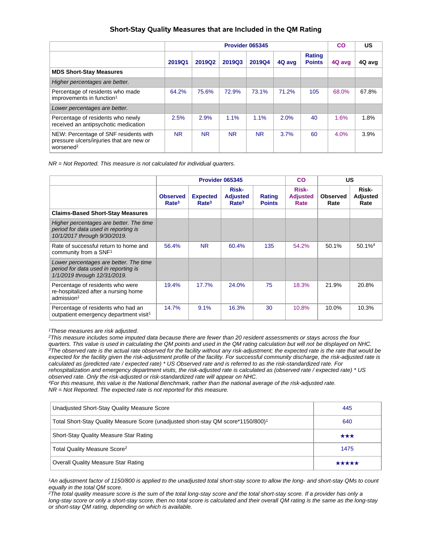#### **Short-Stay Quality Measures that are Included in the QM Rating**

|                                                                                                            | Provider 065345 |           |           |               |        |                         | CO     | US     |
|------------------------------------------------------------------------------------------------------------|-----------------|-----------|-----------|---------------|--------|-------------------------|--------|--------|
|                                                                                                            | 2019Q1          | 2019Q2    | 2019Q3    | <b>2019Q4</b> | 4Q avg | Rating<br><b>Points</b> | 4Q avg | 4Q avg |
| <b>MDS Short-Stay Measures</b>                                                                             |                 |           |           |               |        |                         |        |        |
| Higher percentages are better.                                                                             |                 |           |           |               |        |                         |        |        |
| Percentage of residents who made<br>improvements in function <sup>1</sup>                                  | 64.2%           | 75.6%     | 72.9%     | 73.1%         | 71.2%  | 105                     | 68.0%  | 67.8%  |
| Lower percentages are better.                                                                              |                 |           |           |               |        |                         |        |        |
| Percentage of residents who newly<br>received an antipsychotic medication                                  | 2.5%            | 2.9%      | 1.1%      | 1.1%          | 2.0%   | 40                      | 1.6%   | 1.8%   |
| NEW: Percentage of SNF residents with<br>pressure ulcers/injuries that are new or<br>worsened <sup>1</sup> | <b>NR</b>       | <b>NR</b> | <b>NR</b> | <b>NR</b>     | 3.7%   | 60                      | 4.0%   | 3.9%   |

 $NR = Not Reported.$  This measure is not calculated for individual quarters.

|                                                                                                                 |                                      |                                      | Provider 065345                               | <b>CO</b>                      | <b>US</b>                        |                         |                           |
|-----------------------------------------------------------------------------------------------------------------|--------------------------------------|--------------------------------------|-----------------------------------------------|--------------------------------|----------------------------------|-------------------------|---------------------------|
|                                                                                                                 | <b>Observed</b><br>Rate <sup>3</sup> | <b>Expected</b><br>Rate <sup>3</sup> | Risk-<br><b>Adjusted</b><br>Rate <sup>3</sup> | <b>Rating</b><br><b>Points</b> | Risk-<br><b>Adjusted</b><br>Rate | <b>Observed</b><br>Rate | Risk-<br>Adjusted<br>Rate |
| <b>Claims-Based Short-Stay Measures</b>                                                                         |                                      |                                      |                                               |                                |                                  |                         |                           |
| Higher percentages are better. The time<br>period for data used in reporting is<br>10/1/2017 through 9/30/2019. |                                      |                                      |                                               |                                |                                  |                         |                           |
| Rate of successful return to home and<br>community from a SNF <sup>1</sup>                                      | 56.4%                                | <b>NR</b>                            | 60.4%                                         | 135                            | 54.2%                            | 50.1%                   | 50.1% <sup>4</sup>        |
| Lower percentages are better. The time<br>period for data used in reporting is<br>1/1/2019 through 12/31/2019.  |                                      |                                      |                                               |                                |                                  |                         |                           |
| Percentage of residents who were<br>re-hospitalized after a nursing home<br>admission <sup>1</sup>              | 19.4%                                | 17.7%                                | 24.0%                                         | 75                             | 18.3%                            | 21.9%                   | 20.8%                     |
| Percentage of residents who had an<br>outpatient emergency department visit <sup>1</sup>                        | 14.7%                                | 9.1%                                 | 16.3%                                         | 30                             | 10.8%                            | 10.0%                   | 10.3%                     |

<sup>1</sup>These measures are risk adjusted.

<sup>2</sup>This measure includes some imputed data because there are fewer than 20 resident assessments or stays across the four quarters. This value is used in calculating the QM points and used in the QM rating calculation but will not be displayed on NHC.  $3$ The observed rate is the actual rate observed for the facility without any risk-adjustment; the expected rate is the rate that would be expected for the facility given the risk-adjustment profile of the facility. For successful community discharge, the risk-adjusted rate is calculated as (predicted rate / expected rate) \* US Observed rate and is referred to as the risk-standardized rate. For rehospitalization and emergency department visits, the risk-adjusted rate is calculated as (observed rate / expected rate) \* US observed rate. Only the risk-adjusted or risk-standardized rate will appear on NHC.

<sup>4</sup>For this measure, this value is the National Benchmark, rather than the national average of the risk-adjusted rate.  $NR = Not Reported.$  The expected rate is not reported for this measure.

| Unadjusted Short-Stay Quality Measure Score                                                   | 445               |
|-----------------------------------------------------------------------------------------------|-------------------|
| Total Short-Stay Quality Measure Score (unadjusted short-stay QM score*1150/800) <sup>1</sup> | 640               |
| Short-Stay Quality Measure Star Rating                                                        | $\star\star\star$ |
| Total Quality Measure Score <sup>2</sup>                                                      | 1475              |
| <b>Overall Quality Measure Star Rating</b>                                                    | *****             |

<sup>1</sup>An adjustment factor of 1150/800 is applied to the unadjusted total short-stay score to allow the long- and short-stay QMs to count equally in the total QM score.

 $2$ The total quality measure score is the sum of the total long-stay score and the total short-stay score. If a provider has only a long-stay score or only a short-stay score, then no total score is calculated and their overall QM rating is the same as the long-stay or short-stay QM rating, depending on which is available.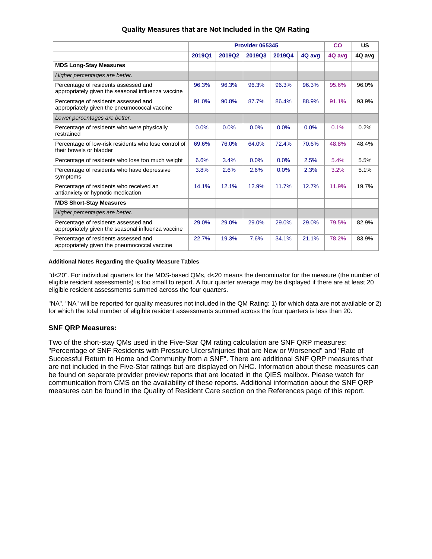| Quality Measures that are Not Included in the QM Rating |  |  |  |
|---------------------------------------------------------|--|--|--|
|---------------------------------------------------------|--|--|--|

|                                                                                            |        |        | Provider 065345 |        |        | CO     | US     |
|--------------------------------------------------------------------------------------------|--------|--------|-----------------|--------|--------|--------|--------|
|                                                                                            | 2019Q1 | 2019Q2 | 2019Q3          | 2019Q4 | 4Q avg | 4Q avg | 4Q avg |
| <b>MDS Long-Stay Measures</b>                                                              |        |        |                 |        |        |        |        |
| Higher percentages are better.                                                             |        |        |                 |        |        |        |        |
| Percentage of residents assessed and<br>appropriately given the seasonal influenza vaccine | 96.3%  | 96.3%  | 96.3%           | 96.3%  | 96.3%  | 95.6%  | 96.0%  |
| Percentage of residents assessed and<br>appropriately given the pneumococcal vaccine       | 91.0%  | 90.8%  | 87.7%           | 86.4%  | 88.9%  | 91.1%  | 93.9%  |
| Lower percentages are better.                                                              |        |        |                 |        |        |        |        |
| Percentage of residents who were physically<br>restrained                                  | 0.0%   | 0.0%   | 0.0%            | 0.0%   | 0.0%   | 0.1%   | 0.2%   |
| Percentage of low-risk residents who lose control of<br>their bowels or bladder            | 69.6%  | 76.0%  | 64.0%           | 72.4%  | 70.6%  | 48.8%  | 48.4%  |
| Percentage of residents who lose too much weight                                           | 6.6%   | 3.4%   | 0.0%            | 0.0%   | 2.5%   | 5.4%   | 5.5%   |
| Percentage of residents who have depressive<br>symptoms                                    | 3.8%   | 2.6%   | 2.6%            | 0.0%   | 2.3%   | 3.2%   | 5.1%   |
| Percentage of residents who received an<br>antianxiety or hypnotic medication              | 14.1%  | 12.1%  | 12.9%           | 11.7%  | 12.7%  | 11.9%  | 19.7%  |
| <b>MDS Short-Stay Measures</b>                                                             |        |        |                 |        |        |        |        |
| Higher percentages are better.                                                             |        |        |                 |        |        |        |        |
| Percentage of residents assessed and<br>appropriately given the seasonal influenza vaccine | 29.0%  | 29.0%  | 29.0%           | 29.0%  | 29.0%  | 79.5%  | 82.9%  |
| Percentage of residents assessed and<br>appropriately given the pneumococcal vaccine       | 22.7%  | 19.3%  | 7.6%            | 34.1%  | 21.1%  | 78.2%  | 83.9%  |

#### **Additional Notes Regarding the Quality Measure Tables**

"d<20". For individual quarters for the MDS-based QMs, d<20 means the denominator for the measure (the number of eligible resident assessments) is too small to report. A four quarter average may be displayed if there are at least 20 eligible resident assessments summed across the four quarters.

"NA". "NA" will be reported for quality measures not included in the QM Rating: 1) for which data are not available or 2) for which the total number of eligible resident assessments summed across the four quarters is less than 20.

#### **SNF QRP Measures:**

Two of the short-stay QMs used in the Five-Star QM rating calculation are SNF QRP measures: "Percentage of SNF Residents with Pressure Ulcers/Injuries that are New or Worsened" and "Rate of Successful Return to Home and Community from a SNF". There are additional SNF QRP measures that are not included in the Five-Star ratings but are displayed on NHC. Information about these measures can be found on separate provider preview reports that are located in the QIES mailbox. Please watch for communication from CMS on the availability of these reports. Additional information about the SNF QRP measures can be found in the Quality of Resident Care section on the References page of this report.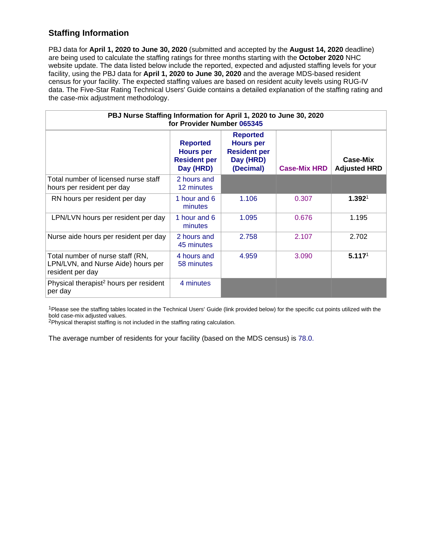# **Staffing Information**

PBJ data for **April 1, 2020 to June 30, 2020** (submitted and accepted by the **August 14, 2020** deadline) are being used to calculate the staffing ratings for three months starting with the **October 2020** NHC website update. The data listed below include the reported, expected and adjusted staffing levels for your facility, using the PBJ data for **April 1, 2020 to June 30, 2020** and the average MDS-based resident census for your facility. The expected staffing values are based on resident acuity levels using RUG-IV data. The Five-Star Rating Technical Users' Guide contains a detailed explanation of the staffing rating and the case-mix adjustment methodology.

| PBJ Nurse Staffing Information for April 1, 2020 to June 30, 2020<br>for Provider Number 065345 |                                                                         |                                                                                      |                     |                                 |  |
|-------------------------------------------------------------------------------------------------|-------------------------------------------------------------------------|--------------------------------------------------------------------------------------|---------------------|---------------------------------|--|
|                                                                                                 | <b>Reported</b><br><b>Hours per</b><br><b>Resident per</b><br>Day (HRD) | <b>Reported</b><br><b>Hours per</b><br><b>Resident per</b><br>Day (HRD)<br>(Decimal) | <b>Case-Mix HRD</b> | Case-Mix<br><b>Adjusted HRD</b> |  |
| Total number of licensed nurse staff<br>hours per resident per day                              | 2 hours and<br>12 minutes                                               |                                                                                      |                     |                                 |  |
| RN hours per resident per day                                                                   | 1 hour and 6<br>minutes                                                 | 1.106                                                                                | 0.307               | 1.392 <sup>1</sup>              |  |
| LPN/LVN hours per resident per day                                                              | 1 hour and 6<br>minutes                                                 | 1.095                                                                                | 0.676               | 1.195                           |  |
| Nurse aide hours per resident per day                                                           | 2 hours and<br>45 minutes                                               | 2.758                                                                                | 2.107               | 2.702                           |  |
| Total number of nurse staff (RN,<br>LPN/LVN, and Nurse Aide) hours per<br>resident per day      | 4 hours and<br>58 minutes                                               | 4.959                                                                                | 3.090               | 5.117 <sup>1</sup>              |  |
| Physical therapist <sup>2</sup> hours per resident<br>per day                                   | 4 minutes                                                               |                                                                                      |                     |                                 |  |

<sup>1</sup>Please see the staffing tables located in the Technical Users' Guide (link provided below) for the specific cut points utilized with the bold case-mix adjusted values.

<sup>2</sup>Physical therapist staffing is not included in the staffing rating calculation.

The average number of residents for your facility (based on the MDS census) is 78.0.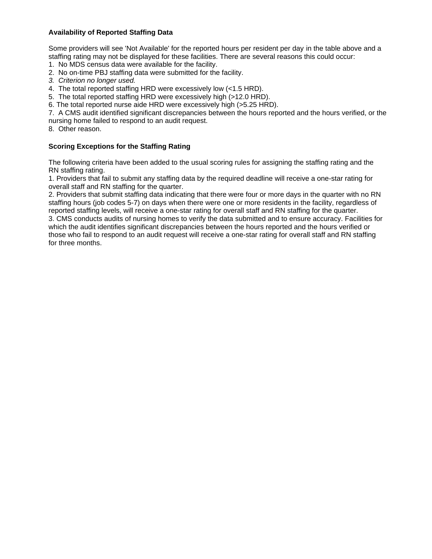### **Availability of Reported Staffing Data**

Some providers will see 'Not Available' for the reported hours per resident per day in the table above and a staffing rating may not be displayed for these facilities. There are several reasons this could occur:

- 1. No MDS census data were available for the facility.
- 2. No on-time PBJ staffing data were submitted for the facility.
- 3. Criterion no longer used.
- 4. The total reported staffing HRD were excessively low (<1.5 HRD).
- 5. The total reported staffing HRD were excessively high (>12.0 HRD).
- 6. The total reported nurse aide HRD were excessively high (>5.25 HRD).

7. A CMS audit identified significant discrepancies between the hours reported and the hours verified, or the nursing home failed to respond to an audit request.

8. Other reason.

### **Scoring Exceptions for the Staffing Rating**

The following criteria have been added to the usual scoring rules for assigning the staffing rating and the RN staffing rating.

1. Providers that fail to submit any staffing data by the required deadline will receive a one-star rating for overall staff and RN staffing for the quarter.

2. Providers that submit staffing data indicating that there were four or more days in the quarter with no RN staffing hours (job codes 5-7) on days when there were one or more residents in the facility, regardless of reported staffing levels, will receive a one-star rating for overall staff and RN staffing for the quarter.

3. CMS conducts audits of nursing homes to verify the data submitted and to ensure accuracy. Facilities for which the audit identifies significant discrepancies between the hours reported and the hours verified or those who fail to respond to an audit request will receive a one-star rating for overall staff and RN staffing for three months.